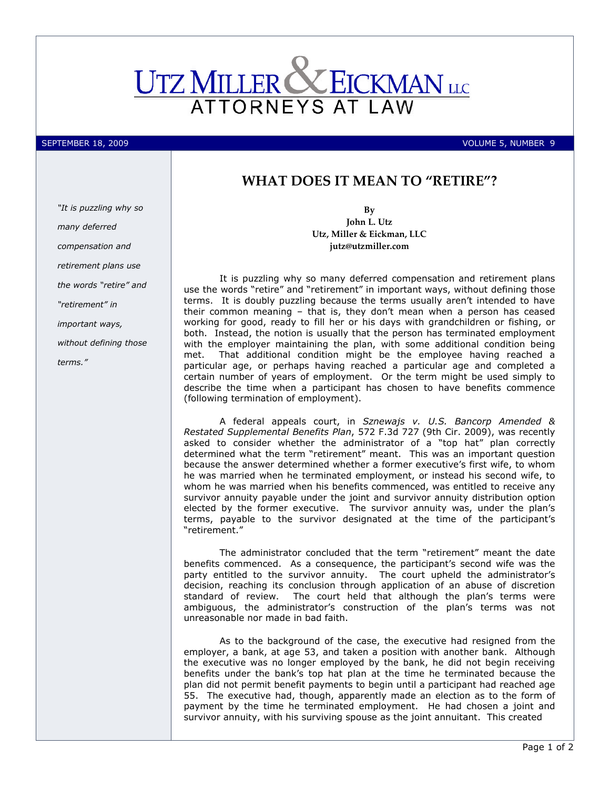

SEPTEMBER 18, 2009 VOLUME 5, NUMBER 9

## WHAT DOES IT MEAN TO "RETIRE"?

"It is puzzling why so many deferred compensation and retirement plans use the words "retire" and "retirement" in important ways, without defining those terms."

By John L. Utz Utz, Miller & Eickman, LLC jutz@utzmiller.com

It is puzzling why so many deferred compensation and retirement plans use the words "retire" and "retirement" in important ways, without defining those terms. It is doubly puzzling because the terms usually aren't intended to have their common meaning – that is, they don't mean when a person has ceased working for good, ready to fill her or his days with grandchildren or fishing, or both. Instead, the notion is usually that the person has terminated employment with the employer maintaining the plan, with some additional condition being met. That additional condition might be the employee having reached a particular age, or perhaps having reached a particular age and completed a certain number of years of employment. Or the term might be used simply to describe the time when a participant has chosen to have benefits commence (following termination of employment).

A federal appeals court, in Sznewajs v. U.S. Bancorp Amended & Restated Supplemental Benefits Plan, 572 F.3d 727 (9th Cir. 2009), was recently asked to consider whether the administrator of a "top hat" plan correctly determined what the term "retirement" meant. This was an important question because the answer determined whether a former executive's first wife, to whom he was married when he terminated employment, or instead his second wife, to whom he was married when his benefits commenced, was entitled to receive any survivor annuity payable under the joint and survivor annuity distribution option elected by the former executive. The survivor annuity was, under the plan's terms, payable to the survivor designated at the time of the participant's "retirement."

The administrator concluded that the term "retirement" meant the date benefits commenced. As a consequence, the participant's second wife was the party entitled to the survivor annuity. The court upheld the administrator's decision, reaching its conclusion through application of an abuse of discretion standard of review. The court held that although the plan's terms were ambiguous, the administrator's construction of the plan's terms was not unreasonable nor made in bad faith.

As to the background of the case, the executive had resigned from the employer, a bank, at age 53, and taken a position with another bank. Although the executive was no longer employed by the bank, he did not begin receiving benefits under the bank's top hat plan at the time he terminated because the plan did not permit benefit payments to begin until a participant had reached age 55. The executive had, though, apparently made an election as to the form of payment by the time he terminated employment. He had chosen a joint and survivor annuity, with his surviving spouse as the joint annuitant. This created